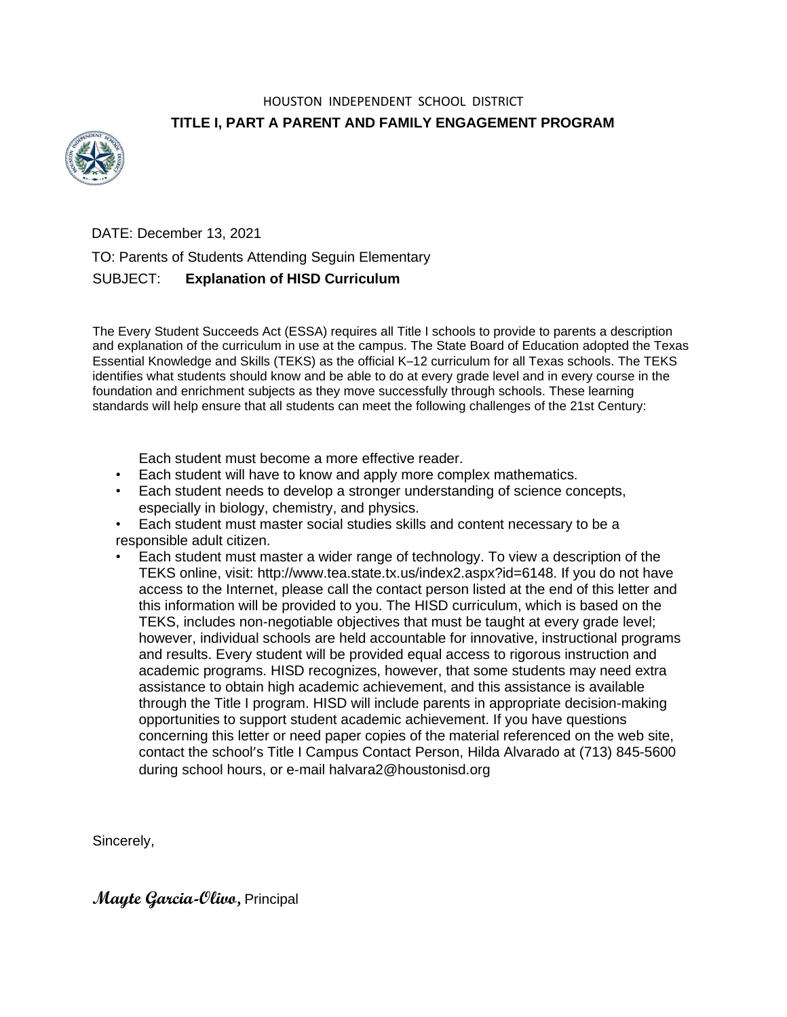## HOUSTON INDEPENDENT SCHOOL DISTRICT **TITLE I, PART A PARENT AND FAMILY ENGAGEMENT PROGRAM**



DATE: December 13, 2021

TO: Parents of Students Attending Seguin Elementary

## SUBJECT: **Explanation of HISD Curriculum**

The Every Student Succeeds Act (ESSA) requires all Title I schools to provide to parents a description and explanation of the curriculum in use at the campus. The State Board of Education adopted the Texas Essential Knowledge and Skills (TEKS) as the official K–12 curriculum for all Texas schools. The TEKS identifies what students should know and be able to do at every grade level and in every course in the foundation and enrichment subjects as they move successfully through schools. These learning standards will help ensure that all students can meet the following challenges of the 21st Century:

Each student must become a more effective reader.

- Each student will have to know and apply more complex mathematics.
- Each student needs to develop a stronger understanding of science concepts, especially in biology, chemistry, and physics.
- Each student must master social studies skills and content necessary to be a responsible adult citizen.
- Each student must master a wider range of technology. To view a description of the TEKS online, visit: http://www.tea.state.tx.us/index2.aspx?id=6148. If you do not have access to the Internet, please call the contact person listed at the end of this letter and this information will be provided to you. The HISD curriculum, which is based on the TEKS, includes non-negotiable objectives that must be taught at every grade level; however, individual schools are held accountable for innovative, instructional programs and results. Every student will be provided equal access to rigorous instruction and academic programs. HISD recognizes, however, that some students may need extra assistance to obtain high academic achievement, and this assistance is available through the Title I program. HISD will include parents in appropriate decision-making opportunities to support student academic achievement. If you have questions concerning this letter or need paper copies of the material referenced on the web site, contact the school's Title I Campus Contact Person, Hilda Alvarado at (713) 845-5600 during school hours, or e-mail halvara2@houstonisd.org

Sincerely,

**Mayte Garcia-Olivo,** Principal